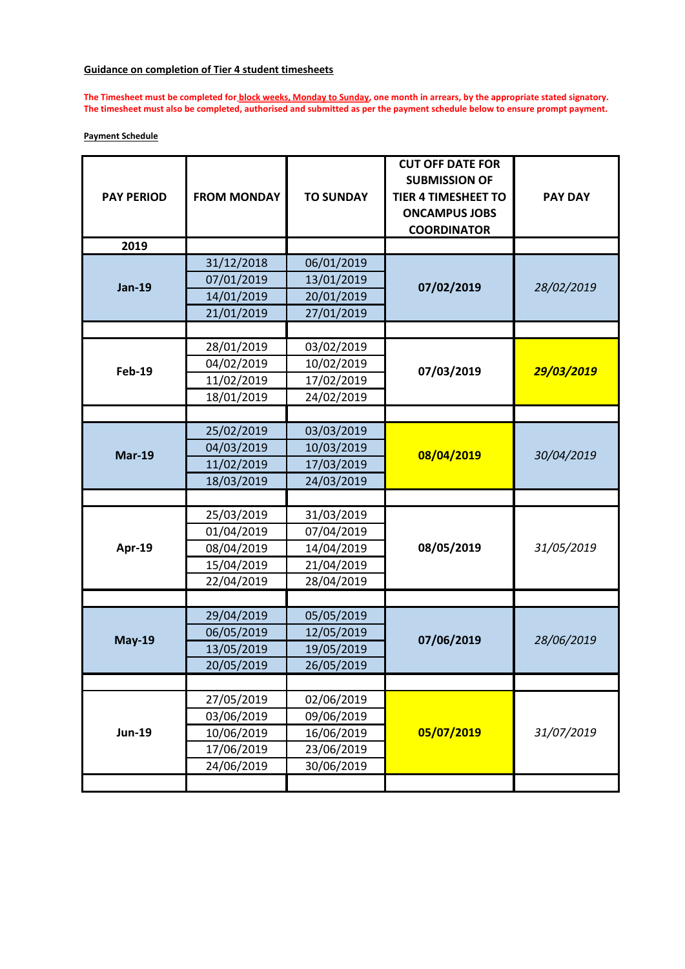## **Guidance on completion of Tier 4 student timesheets**

**The Timesheet must be completed for block weeks, Monday to Sunday, one month in arrears, by the appropriate stated signatory. The timesheet must also be completed, authorised and submitted as per the payment schedule below to ensure prompt payment.**

## **Payment Schedule**

| <b>PAY PERIOD</b> | <b>FROM MONDAY</b> | <b>TO SUNDAY</b> | <b>CUT OFF DATE FOR</b><br><b>SUBMISSION OF</b><br><b>TIER 4 TIMESHEET TO</b><br><b>ONCAMPUS JOBS</b><br><b>COORDINATOR</b> | <b>PAY DAY</b> |
|-------------------|--------------------|------------------|-----------------------------------------------------------------------------------------------------------------------------|----------------|
| 2019              |                    |                  |                                                                                                                             |                |
| <b>Jan-19</b>     | 31/12/2018         | 06/01/2019       | 07/02/2019                                                                                                                  | 28/02/2019     |
|                   | 07/01/2019         | 13/01/2019       |                                                                                                                             |                |
|                   | 14/01/2019         | 20/01/2019       |                                                                                                                             |                |
|                   | 21/01/2019         | 27/01/2019       |                                                                                                                             |                |
|                   |                    |                  |                                                                                                                             |                |
|                   | 28/01/2019         | 03/02/2019       |                                                                                                                             | 29/03/2019     |
| <b>Feb-19</b>     | 04/02/2019         | 10/02/2019       | 07/03/2019                                                                                                                  |                |
|                   | 11/02/2019         | 17/02/2019       |                                                                                                                             |                |
|                   | 18/01/2019         | 24/02/2019       |                                                                                                                             |                |
|                   |                    |                  |                                                                                                                             |                |
| <b>Mar-19</b>     | 25/02/2019         | 03/03/2019       | 08/04/2019                                                                                                                  | 30/04/2019     |
|                   | 04/03/2019         | 10/03/2019       |                                                                                                                             |                |
|                   | 11/02/2019         | 17/03/2019       |                                                                                                                             |                |
|                   | 18/03/2019         | 24/03/2019       |                                                                                                                             |                |
|                   |                    |                  |                                                                                                                             |                |
|                   | 25/03/2019         | 31/03/2019       | 08/05/2019                                                                                                                  | 31/05/2019     |
|                   | 01/04/2019         | 07/04/2019       |                                                                                                                             |                |
| Apr-19            | 08/04/2019         | 14/04/2019       |                                                                                                                             |                |
|                   | 15/04/2019         | 21/04/2019       |                                                                                                                             |                |
|                   | 22/04/2019         | 28/04/2019       |                                                                                                                             |                |
|                   |                    |                  |                                                                                                                             |                |
|                   | 29/04/2019         | 05/05/2019       | 07/06/2019                                                                                                                  | 28/06/2019     |
|                   | 06/05/2019         | 12/05/2019       |                                                                                                                             |                |
| <b>May-19</b>     | 13/05/2019         | 19/05/2019       |                                                                                                                             |                |
|                   | 20/05/2019         | 26/05/2019       |                                                                                                                             |                |
|                   |                    |                  |                                                                                                                             |                |
| <b>Jun-19</b>     | 27/05/2019         | 02/06/2019       | 05/07/2019                                                                                                                  | 31/07/2019     |
|                   | 03/06/2019         | 09/06/2019       |                                                                                                                             |                |
|                   | 10/06/2019         | 16/06/2019       |                                                                                                                             |                |
|                   | 17/06/2019         | 23/06/2019       |                                                                                                                             |                |
|                   | 24/06/2019         | 30/06/2019       |                                                                                                                             |                |
|                   |                    |                  |                                                                                                                             |                |